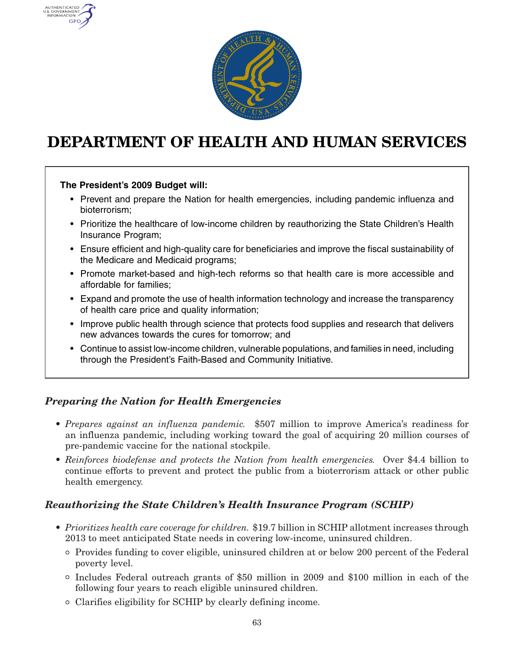



# **DEPARTMENT OF HEALTH AND HUMAN SERVICES**

### **The President's 2009 Budget will:**

- Prevent and prepare the Nation for health emergencies, including pandemic influenza and bioterrorism;
- Prioritize the healthcare of low-income children by reauthorizing the State Children's Health Insurance Program;
- Ensure efficient and high-quality care for beneficiaries and improve the fiscal sustainability of the Medicare and Medicaid programs;
- Promote market-based and high-tech reforms so that health care is more accessible and affordable for families;
- Expand and promote the use of health information technology and increase the transparency of health care price and quality information;
- Improve public health through science that protects food supplies and research that delivers new advances towards the cures for tomorrow; and
- Continue to assist low-income children, vulnerable populations, and families in need, including through the President's Faith-Based and Community Initiative.

## *Preparing the Nation for Health Emergencies*

- *Prepares against an influenza pandemic.* \$507 million to improve America's readiness for an influenza pandemic, including working toward the goal of acquiring 20 million courses of pre-pandemic vaccine for the national stockpile.
- *Reinforces biodefense and protects the Nation from health emergencies.* Over \$4.4 billion to continue efforts to prevent and protect the public from <sup>a</sup> bioterrorism attack or other public health emergency.

## *Reauthorizing the State Children's Health Insurance Program (SCHIP)*

- *Prioritizes health care coverage for children.* \$19.7 billion in SCHIP allotment increases through 2013 to meet anticipated State needs in covering low-income, uninsured children.
	- ° Provides funding to cover eligible, uninsured children at or below 200 percent of the Federal poverty level.
	- ° Includes Federal outreach grants of \$50 million in 2009 and \$100 million in each of the following four years to reach eligible uninsured children.
	- ° Clarifies eligibility for SCHIP by clearly defining income.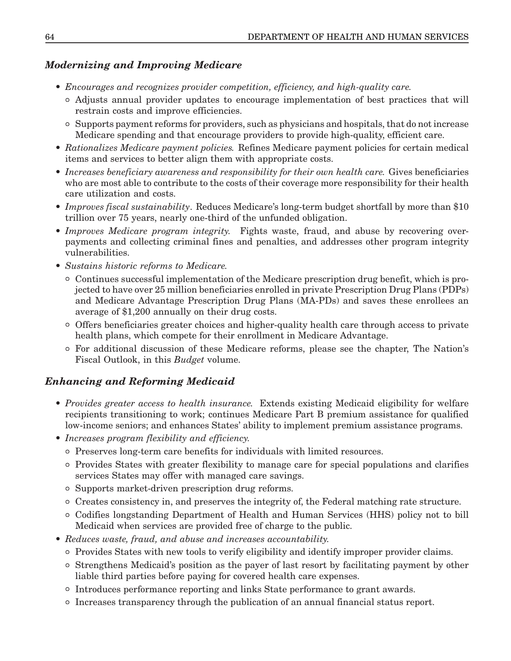## *Modernizing and Improving Medicare*

- *Encourages and recognizes provider competition, efficiency, and high-quality care.*
	- ° Adjusts annual provider updates to encourage implementation of best practices that will restrain costs and improve efficiencies.
	- ° Supports payment reforms for providers, such as physicians and hospitals, that do notincrease Medicare spending and that encourage providers to provide high-quality, efficient care.
- *Rationalizes Medicare payment policies.* Refines Medicare payment policies for certain medical items and services to better align them with appropriate costs.
- *Increases beneficiary awareness and responsibility for their own health care.* Gives beneficiaries who are most able to contribute to the costs of their coverage more responsibility for their health care utilization and costs.
- *Improves fiscal sustainability*. Reduces Medicare's long-term budget shortfall by more than \$10 trillion over 75 years, nearly one-third of the unfunded obligation.
- *Improves Medicare program integrity.* Fights waste, fraud, and abuse by recovering overpayments and collecting criminal fines and penalties, and addresses other program integrity vulnerabilities.
- *Sustains historic reforms to Medicare.*
	- ° Continues successful implementation of the Medicare prescription drug benefit, which is projected to have over 25 million beneficiaries enrolled in private Prescription Drug Plans (PDPs) and Medicare Advantage Prescription Drug Plans (MA-PDs) and saves these enrollees an average of \$1,200 annually on their drug costs.
	- ° Offers beneficiaries greater choices and higher-quality health care through access to private health plans, which compete for their enrollment in Medicare Advantage.
	- ° For additional discussion of these Medicare reforms, please see the chapter, The Nation's Fiscal Outlook, in this *Budget* volume.

## *Enhancing and Reforming Medicaid*

- *Provides greater access to health insurance.* Extends existing Medicaid eligibility for welfare recipients transitioning to work; continues Medicare Part B premium assistance for qualified low-income seniors; and enhances States' ability to implement premium assistance programs.
- *Increases program flexibility and efficiency.*
	- ° Preserves long-term care benefits for individuals with limited resources.
	- ° Provides States with greater flexibility to manage care for special populations and clarifies services States may offer with managed care savings.
	- ° Supports market-driven prescription drug reforms.
	- ° Creates consistency in, and preserves the integrity of, the Federal matching rate structure.
	- ° Codifies longstanding Department of Health and Human Services (HHS) policy not to bill Medicaid when services are provided free of charge to the public.
- *Reduces waste, fraud, and abuse and increases accountability.*
	- ° Provides States with new tools to verify eligibility and identify improper provider claims.
	- ° Strengthens Medicaid's position as the payer of last resort by facilitating payment by other liable third parties before paying for covered health care expenses.
	- ° Introduces performance reporting and links State performance to grant awards.
	- ° Increases transparency through the publication of an annual financial status report.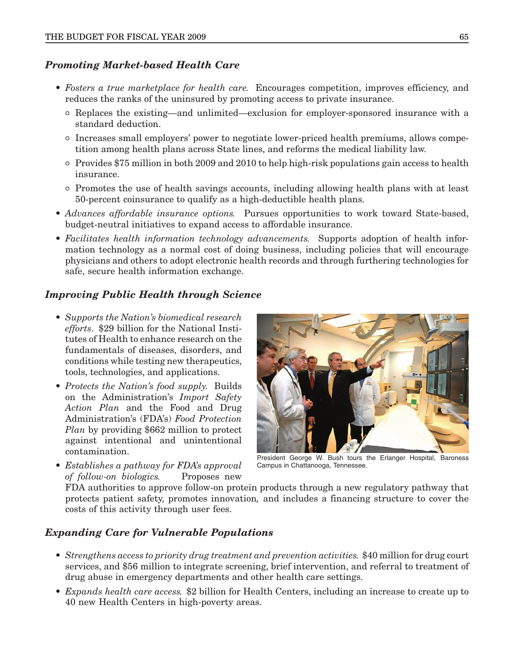## *Promoting Market-based Health Care*

- *Fosters <sup>a</sup> true marketplace for health care.* Encourages competition, improves efficiency, and reduces the ranks of the uninsured by promoting access to private insurance.
	- ° Replaces the existing—and unlimited—exclusion for employer-sponsored insurance with <sup>a</sup> standard deduction.
	- ° Increases small employers' power to negotiate lower-priced health premiums, allows competition among health plans across State lines, and reforms the medical liability law.
	- ° Provides \$75 million in both 2009 and 2010 to help high-risk populations gain access to health insurance.
	- ° Promotes the use of health savings accounts, including allowing health plans with at least 50-percent coinsurance to qualify as <sup>a</sup> high-deductible health plans.
- *Advances affordable insurance options.* Pursues opportunities to work toward State-based, budget-neutral initiatives to expand access to affordable insurance.
- *Facilitates health information technology advancements.* Supports adoption of health information technology as <sup>a</sup> normal cost of doing business, including policies that will encourage physicians and others to adopt electronic health records and through furthering technologies for safe, secure health information exchange.

### *Improving Public Health through Science*

- *Supports the Nation's biomedical research efforts*. \$29 billion for the National Institutes of Health to enhance research on the fundamentals of diseases, disorders, and conditions while testing new therapeutics, tools, technologies, and applications.
- *Protects the Nation's food supply.* Builds on the Administration's *Import Safety Action Plan* and the Food and Drug Administration's (FDA's) *Food Protection Plan* by providing \$662 million to protect against intentional and unintentional contamination.
- *Establishes <sup>a</sup> pathway for FDA's approval of follow-on biologics.* Proposes new



President George W. Bush tours the Erlanger Hospital, Baroness Campus in Chattanooga, Tennessee.

FDA authorities to approve follow-on protein products through <sup>a</sup> new regulatory pathway that protects patient safety, promotes innovation*,* and includes <sup>a</sup> financing structure to cover the costs of this activity through user fees.

## *Expanding Care for Vulnerable Populations*

- *Strengthens access to priority drug treatment and prevention activities.* \$40 million for drug court services, and \$56 million to integrate screening, brief intervention, and referral to treatment of drug abuse in emergency departments and other health care settings.
- *Expands health care access.* \$2 billion for Health Centers, including an increase to create up to 40 new Health Centers in high-poverty areas.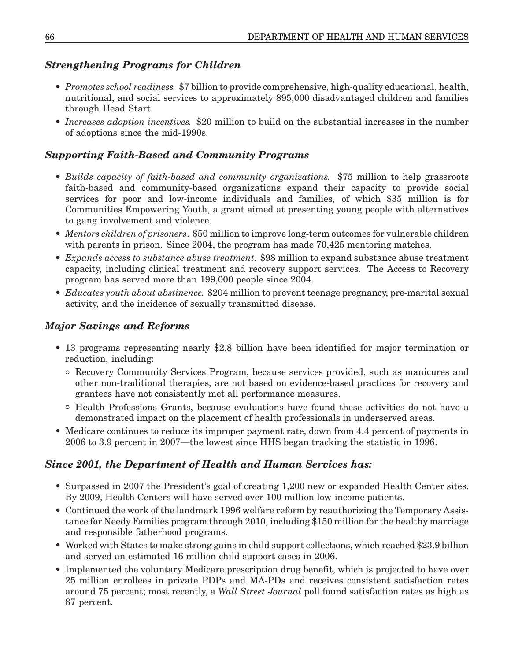# *Strengthening Programs for Children*

- *Promotes school readiness.* \$7 billion to provide comprehensive, high-quality educational, health, nutritional, and social services to approximately 895,000 disadvantaged children and families through Head Start.
- *Increases adoption incentives.* \$20 million to build on the substantial increases in the number of adoptions since the mid-1990s.

# *Supporting Faith-Based and Community Programs*

- *Builds capacity of faith-based and community organizations.* \$75 million to help grassroots faith-based and community-based organizations expand their capacity to provide social services for poor and low-income individuals and families, of which \$35 million is for Communities Empowering Youth, <sup>a</sup> grant aimed at presenting young people with alternatives to gang involvement and violence.
- *Mentors children of prisoners*. \$50 million to improve long-term outcomes for vulnerable children with parents in prison. Since 2004, the program has made 70,425 mentoring matches.
- *Expands access to substance abuse treatment.* \$98 million to expand substance abuse treatment capacity, including clinical treatment and recovery support services. The Access to Recovery program has served more than 199,000 people since 2004.
- *Educates youth about abstinence.* \$204 million to prevent teenage pregnancy, pre-marital sexual activity, and the incidence of sexually transmitted disease.

## *Major Savings and Reforms*

- 13 programs representing nearly \$2.8 billion have been identified for major termination or reduction, including:
	- ° Recovery Community Services Program, because services provided, such as manicures and other non-traditional therapies, are not based on evidence-based practices for recovery and grantees have not consistently met all performance measures.
	- ° Health Professions Grants, because evaluations have found these activities do not have <sup>a</sup> demonstrated impact on the placement of health professionals in underserved areas.
- Medicare continues to reduce its improper payment rate, down from 4.4 percent of payments in 2006 to 3.9 percent in 2007—the lowest since HHS began tracking the statistic in 1996.

## *Since 2001, the Department of Health and Human Services has:*

- Surpassed in 2007 the President's goal of creating 1,200 new or expanded Health Center sites. By 2009, Health Centers will have served over 100 million low-income patients.
- Continued the work of the landmark 1996 welfare reform by reauthorizing the Temporary Assistance for Needy Families program through 2010, including \$150 million for the healthy marriage and responsible fatherhood programs.
- Worked with States to make strong gains in child support collections, which reached \$23.9 billion and served an estimated 16 million child support cases in 2006.
- Implemented the voluntary Medicare prescription drug benefit, which is projected to have over 25 million enrollees in private PDPs and MA-PDs and receives consistent satisfaction rates around 75 percent; most recently, <sup>a</sup> *Wall Street Journal* poll found satisfaction rates as high as 87 percent.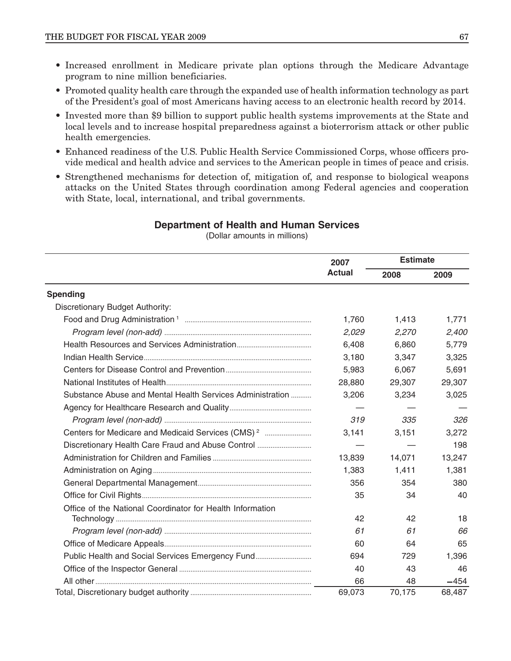- Increased enrollment in Medicare private plan options through the Medicare Advantage program to nine million beneficiaries.
- Promoted quality health care through the expanded use of health information technology as part of the President's goal of most Americans having access to an electronic health record by 2014.
- Invested more than \$9 billion to support public health systems improvements at the State and local levels and to increase hospital preparedness against <sup>a</sup> bioterrorism attack or other public health emergencies.
- Enhanced readiness of the U.S. Public Health Service Commissioned Corps, whose officers provide medical and health advice and services to the American people in times of peace and crisis.
- Strengthened mechanisms for detection of, mitigation of, and response to biological weapons attacks on the United States through coordination among Federal agencies and cooperation with State, local, international, and tribal governments.

#### **Department of Health and Human Services**

|                                                           | 2007<br><b>Actual</b> | <b>Estimate</b> |        |
|-----------------------------------------------------------|-----------------------|-----------------|--------|
|                                                           |                       | 2008            | 2009   |
| Spending                                                  |                       |                 |        |
| Discretionary Budget Authority:                           |                       |                 |        |
|                                                           | 1,760                 | 1,413           | 1,771  |
|                                                           | 2,029                 | 2,270           | 2,400  |
|                                                           | 6,408                 | 6,860           | 5,779  |
|                                                           | 3,180                 | 3,347           | 3,325  |
|                                                           | 5,983                 | 6,067           | 5,691  |
|                                                           | 28,880                | 29,307          | 29,307 |
| Substance Abuse and Mental Health Services Administration | 3,206                 | 3,234           | 3,025  |
|                                                           |                       |                 |        |
|                                                           | 319                   | 335             | 326    |
|                                                           | 3,141                 | 3,151           | 3,272  |
| Discretionary Health Care Fraud and Abuse Control         |                       |                 | 198    |
|                                                           | 13,839                | 14,071          | 13,247 |
|                                                           | 1,383                 | 1,411           | 1,381  |
|                                                           | 356                   | 354             | 380    |
|                                                           | 35                    | 34              | 40     |
| Office of the National Coordinator for Health Information |                       |                 |        |
|                                                           | 42                    | 42              | 18     |
|                                                           | 61                    | 61              | 66     |
|                                                           | 60                    | 64              | 65     |
| Public Health and Social Services Emergency Fund          | 694                   | 729             | 1,396  |
|                                                           | 40                    | 43              | 46     |
|                                                           | 66                    | 48              | $-454$ |
|                                                           | 69,073                | 70,175          | 68,487 |

(Dollar amounts in millions)